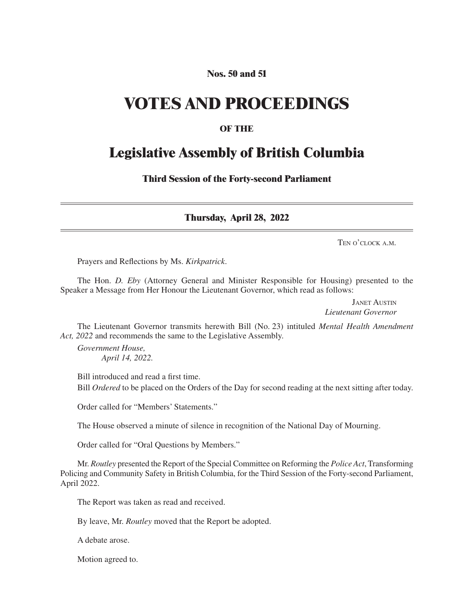#### **Nos. 50 and 51**

## **VOTES AND PROCEEDINGS**

#### **OF THE**

### **Legislative Assembly of British Columbia**

**Third Session of the Forty-second Parliament**

**Thursday, April 28, 2022**

Ten o'clock a.m.

Prayers and Reflections by Ms. *Kirkpatrick*.

The Hon. *D. Eby* (Attorney General and Minister Responsible for Housing) presented to the Speaker a Message from Her Honour the Lieutenant Governor, which read as follows:

> Janet Austin *Lieutenant Governor*

The Lieutenant Governor transmits herewith Bill (No. 23) intituled *Mental Health Amendment Act, 2022* and recommends the same to the Legislative Assembly.

*Government House, April 14, 2022.*

Bill introduced and read a first time. Bill *Ordered* to be placed on the Orders of the Day for second reading at the next sitting after today.

Order called for "Members' Statements."

The House observed a minute of silence in recognition of the National Day of Mourning.

Order called for "Oral Questions by Members."

Mr. *Routley* presented the Report of the Special Committee on Reforming the *Police Act*, Transforming Policing and Community Safety in British Columbia, for the Third Session of the Forty-second Parliament, April 2022.

The Report was taken as read and received.

By leave, Mr. *Routley* moved that the Report be adopted.

A debate arose.

Motion agreed to.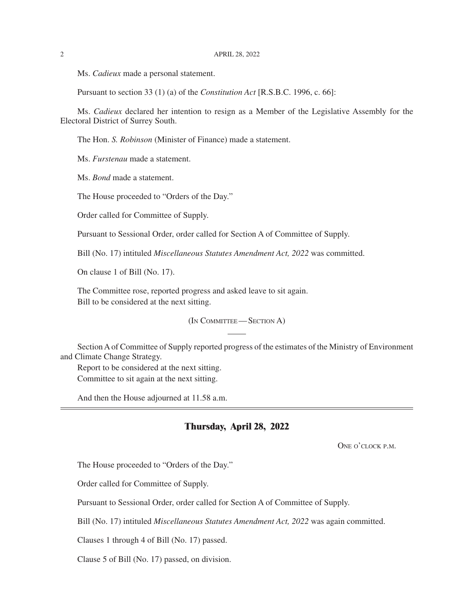Ms. *Cadieux* made a personal statement.

Pursuant to section 33 (1) (a) of the *Constitution Act* [R.S.B.C. 1996, c. 66]:

Ms. *Cadieux* declared her intention to resign as a Member of the Legislative Assembly for the Electoral District of Surrey South.

The Hon. *S. Robinson* (Minister of Finance) made a statement.

Ms. *Furstenau* made a statement.

Ms. *Bond* made a statement.

The House proceeded to "Orders of the Day."

Order called for Committee of Supply.

Pursuant to Sessional Order, order called for Section A of Committee of Supply.

Bill (No. 17) intituled *Miscellaneous Statutes Amendment Act, 2022* was committed.

On clause 1 of Bill (No. 17).

The Committee rose, reported progress and asked leave to sit again. Bill to be considered at the next sitting.

(In Committee— Section A)

Section A of Committee of Supply reported progress of the estimates of the Ministry of Environment and Climate Change Strategy.

Report to be considered at the next sitting. Committee to sit again at the next sitting.

And then the House adjourned at 11.58 a.m.

#### **Thursday, April 28, 2022**

ONE O'CLOCK P.M.

The House proceeded to "Orders of the Day."

Order called for Committee of Supply.

Pursuant to Sessional Order, order called for Section A of Committee of Supply.

Bill (No. 17) intituled *Miscellaneous Statutes Amendment Act, 2022* was again committed.

Clauses 1 through 4 of Bill (No. 17) passed.

Clause 5 of Bill (No. 17) passed, on division.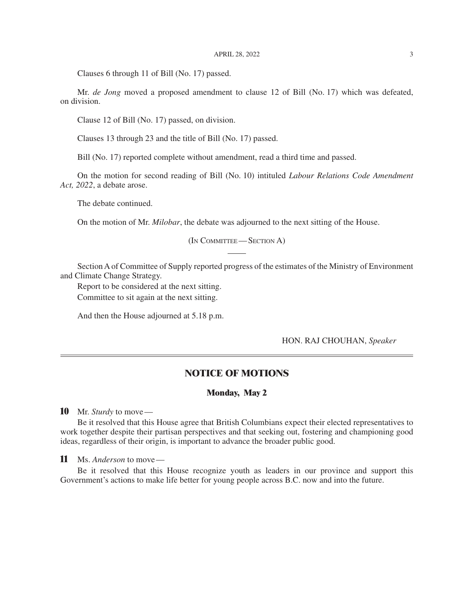Clauses 6 through 11 of Bill (No. 17) passed.

Mr. *de Jong* moved a proposed amendment to clause 12 of Bill (No. 17) which was defeated, on division.

Clause 12 of Bill (No. 17) passed, on division.

Clauses 13 through 23 and the title of Bill (No. 17) passed.

Bill (No. 17) reported complete without amendment, read a third time and passed.

On the motion for second reading of Bill (No. 10) intituled *Labour Relations Code Amendment Act, 2022*, a debate arose.

The debate continued.

On the motion of Mr. *Milobar*, the debate was adjourned to the next sitting of the House.

(In Committee— Section A)

Section A of Committee of Supply reported progress of the estimates of the Ministry of Environment and Climate Change Strategy.

Report to be considered at the next sitting.

Committee to sit again at the next sitting.

And then the House adjourned at 5.18 p.m.

#### HON. RAJ CHOUHAN, *Speaker*

#### **NOTICE OF MOTIONS**

#### **Monday, May 2**

**10** Mr. *Sturdy* to move—

Be it resolved that this House agree that British Columbians expect their elected representatives to work together despite their partisan perspectives and that seeking out, fostering and championing good ideas, regardless of their origin, is important to advance the broader public good.

**11** Ms. *Anderson* to move—

Be it resolved that this House recognize youth as leaders in our province and support this Government's actions to make life better for young people across B.C. now and into the future.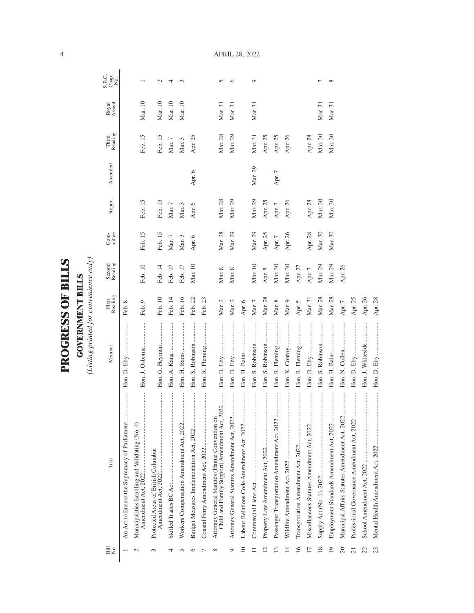| ١             |
|---------------|
|               |
| i<br>Filipina |
|               |
|               |
| $\frac{1}{2}$ |
|               |
|               |
| くこにく          |
|               |
|               |
|               |
|               |
|               |

**GOVERNMENT BILLS**<br>(Listing printed for convenience only) *(Listing printed for convenience only)*

**GOVERNMENT BILLS**

| Bill<br>No.     | Title                                                                                           | Member            | Reading<br>First | Second<br>Reading | mittee<br>Com-  | Report     | Amended    | Reading<br>Third | Royal<br>Assent | S.B.C.<br>Chap.<br>No. |
|-----------------|-------------------------------------------------------------------------------------------------|-------------------|------------------|-------------------|-----------------|------------|------------|------------------|-----------------|------------------------|
|                 | <br>An Act to Ensure the Supremacy of Parliament                                                |                   | Feb. 8           |                   |                 |            |            |                  |                 |                        |
| $\mathcal{C}$   | <br>Municipalities Enabling and Validating (No. 4)<br>Amendment Act, 2022                       | Hon. J. Osborne   | Feb. 9           | Feb. 10           | Feb. 15         | Feb. 15    |            | Feb. 15          | Mar. 10         |                        |
| 3               | Protected Areas of British Columbia                                                             | Hon. G. Heyman    | Feb. 10          | Feb. 14           | Feb. 15         | Feb. 15    |            | Feb. 15          | Mar. 10         | $\mathbf{\sim}$        |
|                 |                                                                                                 | Hon. A. Kang      | Feb. 14          | Feb. 17           | $\rm{Mar.}$ $7$ | Mar. $7\,$ |            | Mar. $7$         | Mar. 10         | 4                      |
|                 | <br>Workers Compensation Amendment Act, 2022                                                    | Hon. H. Bains     | Feb. 16          | Feb. 17           | Mar. 3          | Mar. 3     |            | Mar. 3           | Mar. 10         | 3                      |
|                 | <br>Budget Measures Implementation Act, 2022                                                    | Hon. S. Robinson  | Feb. 22          | Mar. 10           | Apr. 6          | Apr. 6     | Apr. 6     | Apr. 25          |                 |                        |
|                 |                                                                                                 | Hon. R. Fleming   | Feb. 23          |                   |                 |            |            |                  |                 |                        |
| ∞               | Child and Family Support) Amendment Act, 2022<br>Attorney General Statutes (Hague Convention on |                   | Mar. 2           | Mar. 8            | Mar. 28         | Mar. 28    |            | Mar. 28          | Mar. 31         | 5                      |
| 0               | <br>Attorney General Statutes Amendment Act, 2022.                                              |                   | Mar. $2$         | Mar. 8            | Mar. 29         | Mar. 29    |            | Mar. 29          | Mar. 31         | ७                      |
| $\overline{10}$ | Labour Relations Code Amendment Act, 2022                                                       |                   | Apr. $6\,$       |                   |                 |            |            |                  |                 |                        |
|                 |                                                                                                 | Hon. S. Robinson  | Mar. $7\,$       | Mar. 10           | Mar. 29         | Mar. 29    | Mar. 29    | Mar. 31          | Mar. 31         | ٥                      |
| ų               |                                                                                                 | Hon. S. Robinson  | Mar. 28          | Apr. 5            | Apr. 25         | Apr. 25    |            | Apr. 25          |                 |                        |
| S               |                                                                                                 | Hon. R. Fleming   | $\rm{Mar.}$ 8    | Mar. 30           | Apr. $7$        | Apr. $7\,$ | Apr. $7\,$ | Apr. 25          |                 |                        |
| $\overline{4}$  |                                                                                                 | Hon. K. Conroy    | Mar. 9           | Mar. 30           | Apr. 26         | Apr. 26    |            | Apr. 26          |                 |                        |
| $\overline{16}$ |                                                                                                 | Hon. R. Fleming   | Apr. 5           | Apr. 27           |                 |            |            |                  |                 |                        |
|                 | Miscellaneous Statutes Amendment Act, 2022                                                      |                   | Mar. 31          | Apr. $7$          | Apr. 28         | Apr. 28    |            | Apr. 28          |                 |                        |
| $\overline{18}$ |                                                                                                 | Hon. S. Robinson  | Mar. 28          | Mar. 29           | Mar. 30         | Mar. 30    |            | Mar. 30          | Mar. 31         | ┌                      |
| $\overline{0}$  |                                                                                                 |                   | Mar. 28          | Mar. 29           | Mar. 30         | Mar. 30    |            | Mar. 30          | Mar. 31         | ${}^{\circ}$           |
| 20              | Municipal Affairs Statutes Amendment Act, 2022                                                  | Hon. N. Cullen    | Apr. $7$         | Apr. 26           |                 |            |            |                  |                 |                        |
| 21              |                                                                                                 |                   | Apr. 25          |                   |                 |            |            |                  |                 |                        |
| 22              |                                                                                                 | Hon. J. Whiteside | Apr. 26          |                   |                 |            |            |                  |                 |                        |
| 23              |                                                                                                 |                   | Apr. 28          |                   |                 |            |            |                  |                 |                        |

APRIL 28, 2022

4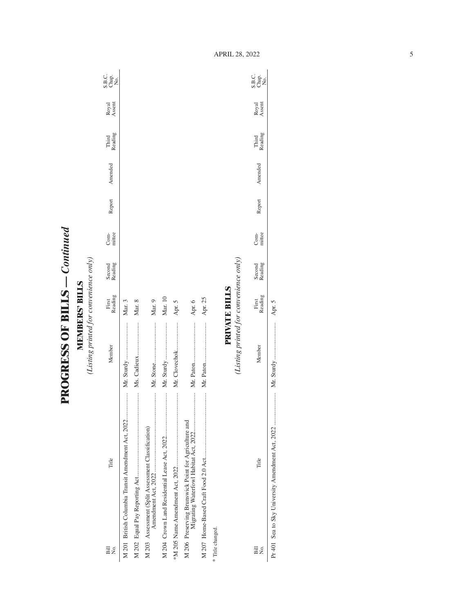**PROGRESS OF BILLS - Continued PROGRESS OF BILLS** *— Continued*

**MEMBERS' BILLS**<br>(Listing printed for convenience only) *(Listing printed for convenience only)* **MEMBERS' BILLS**

| Bill<br>Σó.                                        | Title                                                | Member                                 | Reading<br>First     | Second<br>Reading | mittee<br>Com- | Report | Amended | Third<br>Reading | Royal<br>Assent | C<br>SH <sub>O</sub><br>SH <sub>O</sub> |
|----------------------------------------------------|------------------------------------------------------|----------------------------------------|----------------------|-------------------|----------------|--------|---------|------------------|-----------------|-----------------------------------------|
|                                                    | M 201 British Columbia Transit Amendment Act, 2022   |                                        | Mar. 3               |                   |                |        |         |                  |                 |                                         |
|                                                    |                                                      |                                        | Mar. 8               |                   |                |        |         |                  |                 |                                         |
| M 203 Assessment (Split Assessment Classification) |                                                      |                                        | Mar. 9               |                   |                |        |         |                  |                 |                                         |
|                                                    |                                                      |                                        | Mar. 10              |                   |                |        |         |                  |                 |                                         |
|                                                    |                                                      | Mr. Clovechok                          | Apr. 5               |                   |                |        |         |                  |                 |                                         |
|                                                    | M 206 Preserving Brunswick Point for Agriculture and |                                        | Apr. 6               |                   |                |        |         |                  |                 |                                         |
|                                                    |                                                      |                                        | Apr. 25              |                   |                |        |         |                  |                 |                                         |
| * Title changed.                                   |                                                      |                                        |                      |                   |                |        |         |                  |                 |                                         |
|                                                    |                                                      | (Listing printed for convenience only) | <b>PRIVATE BILLS</b> |                   |                |        |         |                  |                 |                                         |
|                                                    |                                                      |                                        |                      |                   |                |        |         |                  |                 |                                         |
| $\overline{B}$ ill<br>Σó,                          | Title                                                | Member                                 | First<br>Reading     | Second<br>Reading | Com-<br>mittee | Report | Amended | Third<br>Reading | Royal<br>Assent | ci<br>Sea<br>Sea                        |

Pr 401 Sea to Sky University Amendment Act, 2022 ..................... Mr. Sturdy ........................ Apr. 5